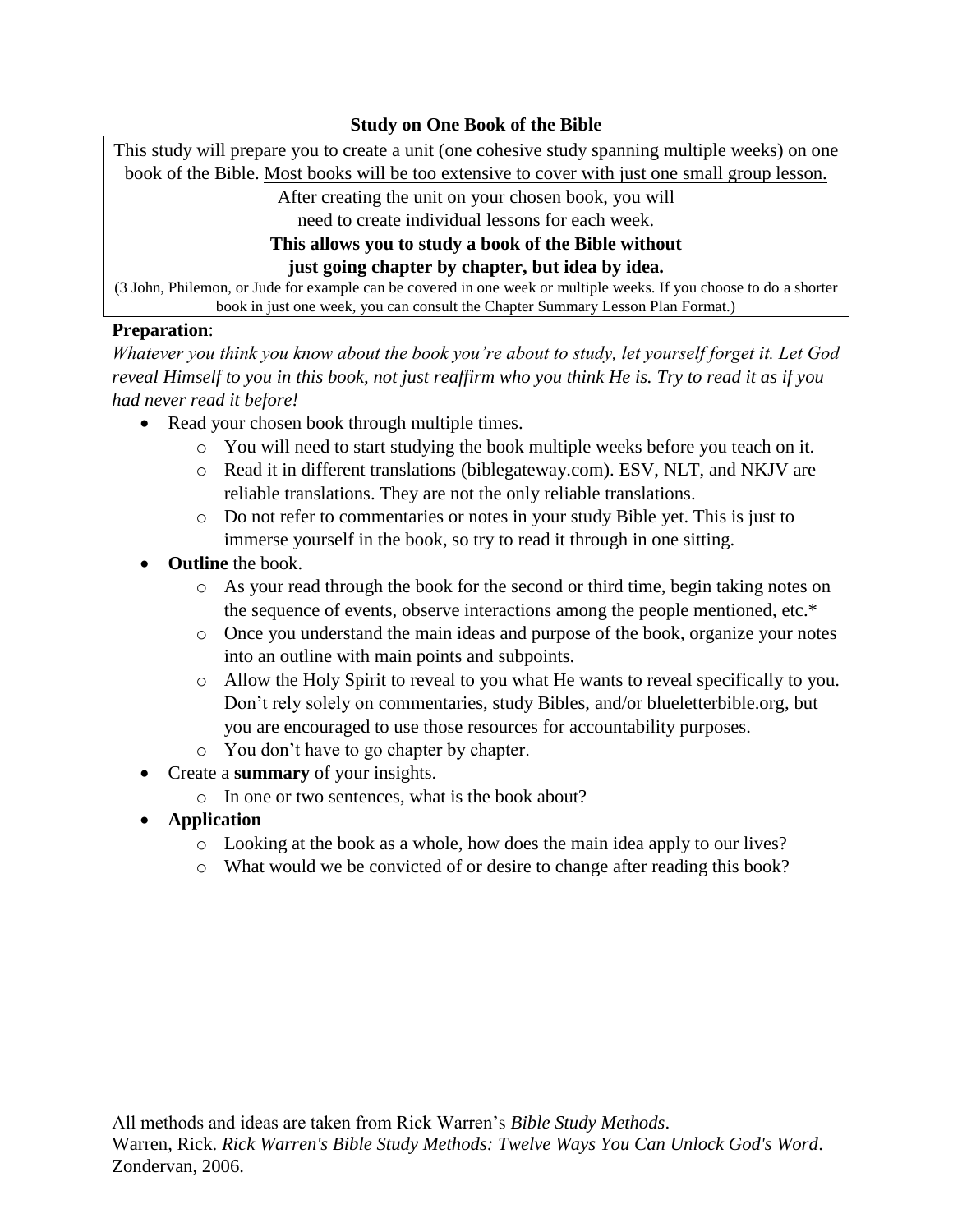This study will prepare you to create a unit (one cohesive study spanning multiple weeks) on one book of the Bible. Most books will be too extensive to cover with just one small group lesson.

After creating the unit on your chosen book, you will

need to create individual lessons for each week.

## **This allows you to study a book of the Bible without just going chapter by chapter, but idea by idea.**

(3 John, Philemon, or Jude for example can be covered in one week or multiple weeks. If you choose to do a shorter book in just one week, you can consult the Chapter Summary Lesson Plan Format.)

## **Preparation**:

*Whatever you think you know about the book you're about to study, let yourself forget it. Let God reveal Himself to you in this book, not just reaffirm who you think He is. Try to read it as if you had never read it before!*

- Read your chosen book through multiple times.
	- o You will need to start studying the book multiple weeks before you teach on it.
	- o Read it in different translations (biblegateway.com). ESV, NLT, and NKJV are reliable translations. They are not the only reliable translations.
	- o Do not refer to commentaries or notes in your study Bible yet. This is just to immerse yourself in the book, so try to read it through in one sitting.
- **Outline** the book.
	- o As your read through the book for the second or third time, begin taking notes on the sequence of events, observe interactions among the people mentioned, etc.\*
	- o Once you understand the main ideas and purpose of the book, organize your notes into an outline with main points and subpoints.
	- o Allow the Holy Spirit to reveal to you what He wants to reveal specifically to you. Don't rely solely on commentaries, study Bibles, and/or blueletterbible.org, but you are encouraged to use those resources for accountability purposes.
	- o You don't have to go chapter by chapter.
- Create a **summary** of your insights.
	- o In one or two sentences, what is the book about?
- **Application**
	- o Looking at the book as a whole, how does the main idea apply to our lives?
	- o What would we be convicted of or desire to change after reading this book?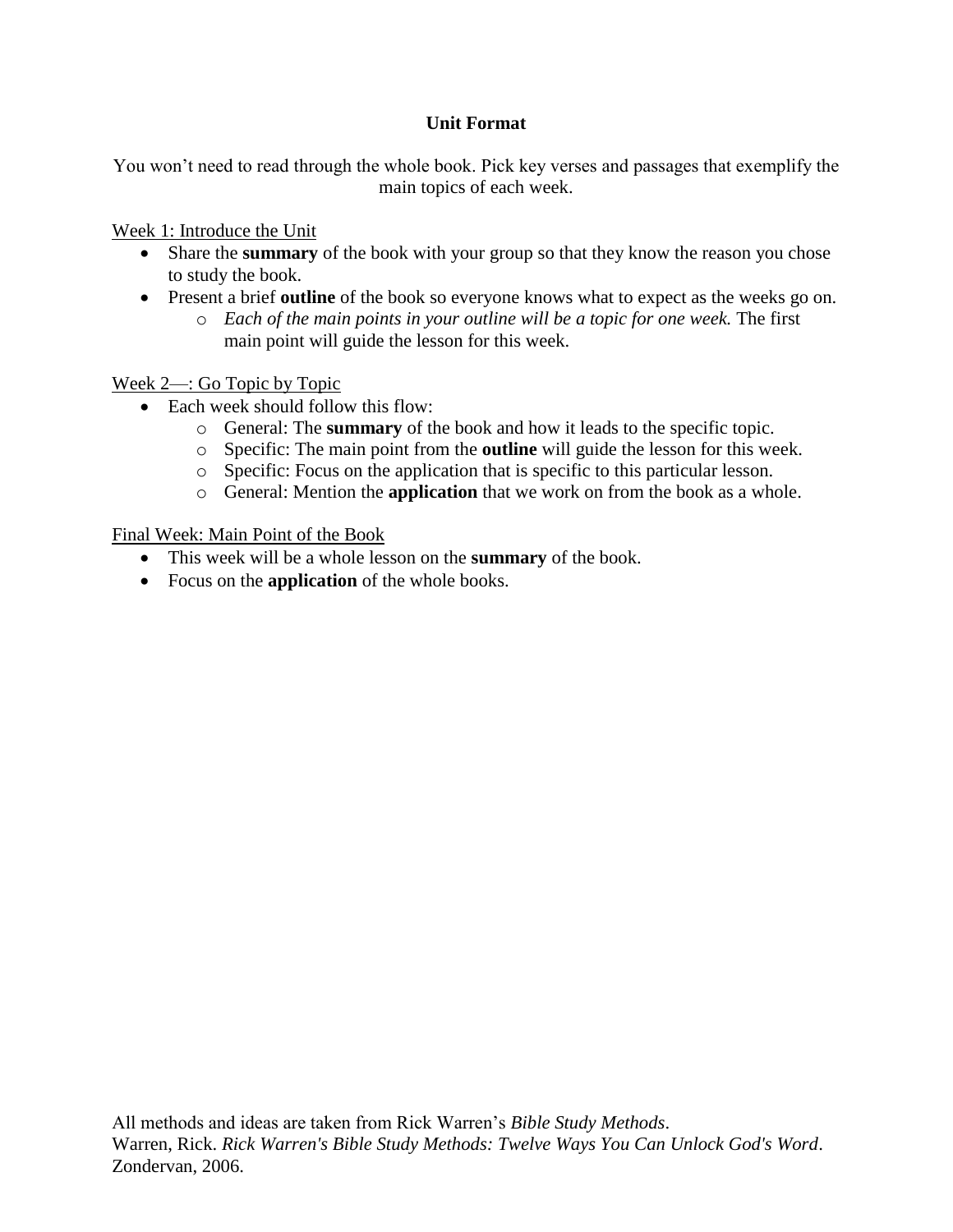## **Unit Format**

You won't need to read through the whole book. Pick key verses and passages that exemplify the main topics of each week.

Week 1: Introduce the Unit

- Share the **summary** of the book with your group so that they know the reason you chose to study the book.
- Present a brief **outline** of the book so everyone knows what to expect as the weeks go on.
	- o *Each of the main points in your outline will be a topic for one week.* The first main point will guide the lesson for this week.

Week 2—: Go Topic by Topic

- Each week should follow this flow:
	- o General: The **summary** of the book and how it leads to the specific topic.
	- o Specific: The main point from the **outline** will guide the lesson for this week.
	- o Specific: Focus on the application that is specific to this particular lesson.
	- o General: Mention the **application** that we work on from the book as a whole.

Final Week: Main Point of the Book

- This week will be a whole lesson on the **summary** of the book.
- Focus on the **application** of the whole books.